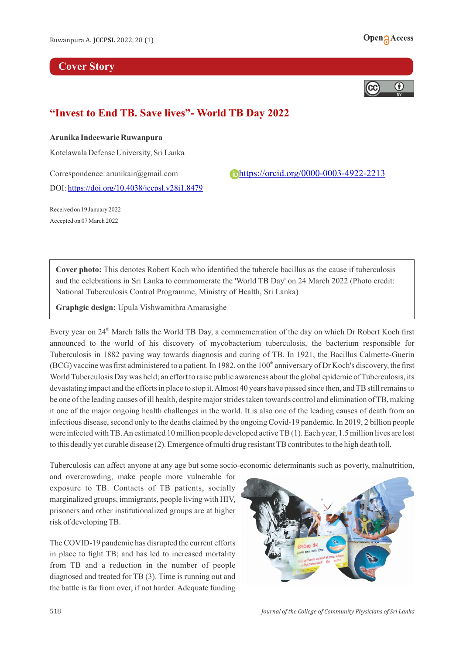## **Cover Story**





## **"Invest to End TB. Save lives"- World TB Day 2022**

## **Arunika Indeewarie Ruwanpura**

Kotelawala Defense University, Sri Lanka

DOI:<https://doi.org/10.4038/jccpsl.v28i1.8479>

Correspondence: arunikair@gmail.com <https://orcid.org/0000-0003-4922-2213>

Received on 19 January 2022 Accepted on 07 March 2022

**Cover photo:** This denotes Robert Koch who identified the tubercle bacillus as the cause if tuberculosis and the celebrations in Sri Lanka to commomerate the 'World TB Day' on 24 March 2022 (Photo credit: National Tuberculosis Control Programme, Ministry of Health, Sri Lanka)

**Graphgic design:** Upula Vishwamithra Amarasighe

Every year on 24<sup>th</sup> March falls the World TB Day, a commemerration of the day on which Dr Robert Koch first announced to the world of his discovery of mycobacterium tuberculosis, the bacterium responsible for Tuberculosis in 1882 paving way towards diagnosis and curing of TB. In 1921, the Bacillus Calmette-Guerin  $(BCG)$  vaccine was first administered to a patient. In 1982, on the 100<sup>th</sup> anniversary of Dr Koch's discovery, the first World Tuberculosis Day was held; an effort to raise public awareness about the global epidemic of Tuberculosis, its devastating impact and the efforts in place to stop it. Almost 40 years have passed since then, and TB still remains to be one of the leading causes of ill health, despite major strides taken towards control and elimination of TB, making it one of the major ongoing health challenges in the world. It is also one of the leading causes of death from an infectious disease, second only to the deaths claimed by the ongoing Covid-19 pandemic. In 2019, 2 billion people were infected with TB. An estimated 10 million people developed active TB (1). Each year, 1.5 million lives are lost to this deadly yet curable disease (2). Emergence of multi drug resistant TB contributes to the high death toll.

Tuberculosis can affect anyone at any age but some socio-economic determinants such as poverty, malnutrition,

and overcrowding, make people more vulnerable for exposure to TB. Contacts of TB patients, socially marginalized groups, immigrants, people living with HIV, prisoners and other institutionalized groups are at higher risk of developing TB.

The COVID-19 pandemic has disrupted the current efforts in place to fight TB; and has led to increased mortality from TB and a reduction in the number of people diagnosed and treated for TB (3). Time is running out and the battle is far from over, if not harder. Adequate funding